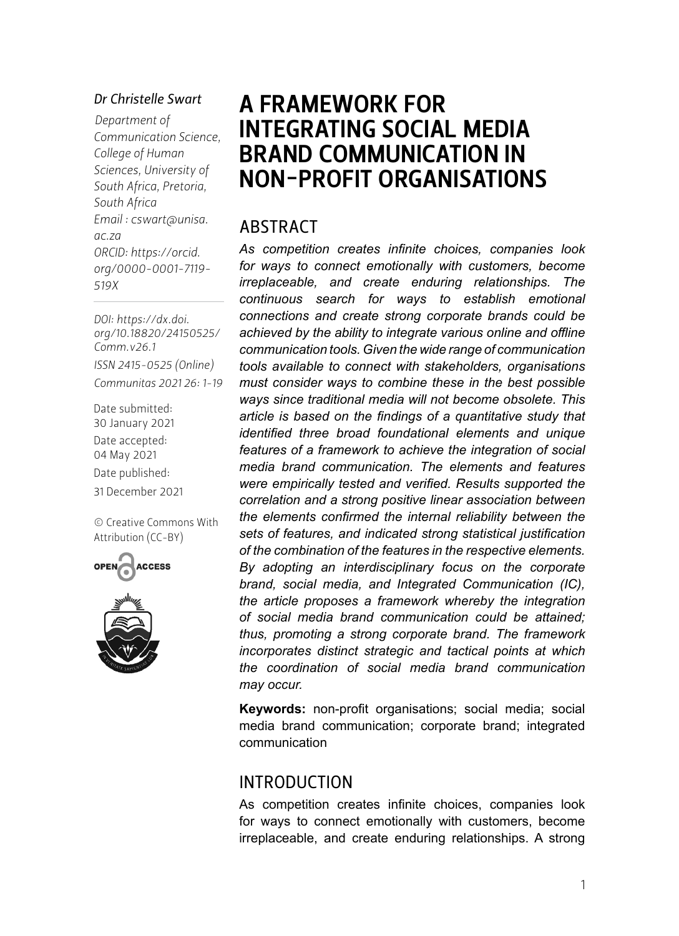#### *Dr Christelle Swart*

*Department of Communication Science, College of Human Sciences, University of South Africa, Pretoria, South Africa Email : [cswart@unisa.](mailto:cswart@unisa.ac.za) [ac.za](mailto:cswart@unisa.ac.za) ORCID: [https://orcid.](https://orcid.org/0000-0001-7119-519X) [org/](https://orcid.org/0000-0001-7119-519X)0000-0001-7119- 519X*

*DOI: [https://dx.doi.](https://dx.doi.org/10.18820/24150525/Comm.v26.1) [org/10.18820/24150525/](https://dx.doi.org/10.18820/24150525/Comm.v26.1) [Comm.v](https://dx.doi.org/10.18820/24150525/Comm.v26.1)26.1 ISSN 2415-0525 (Online) Communitas 2021 26: 1-19*

Date submitted: 30 January 2021 Date accepted: 04 May 2021 Date published: 31 December 2021

[© Creative Commons With](https://creativecommons.org/licenses/by/2.0/za/)  [Attribution \(CC-BY\)](https://creativecommons.org/licenses/by/2.0/za/)





# A FRAMEWORK FOR INTEGRATING SOCIAL MEDIA BRAND COMMUNICATION IN NON-PROFIT ORGANISATIONS

### ABSTRACT

*As competition creates infinite choices, companies look for ways to connect emotionally with customers, become irreplaceable, and create enduring relationships. The continuous search for ways to establish emotional connections and create strong corporate brands could be achieved by the ability to integrate various online and offline communication tools. Given the wide range of communication tools available to connect with stakeholders, organisations must consider ways to combine these in the best possible ways since traditional media will not become obsolete. This article is based on the findings of a quantitative study that identified three broad foundational elements and unique features of a framework to achieve the integration of social media brand communication. The elements and features were empirically tested and verified. Results supported the correlation and a strong positive linear association between the elements confirmed the internal reliability between the sets of features, and indicated strong statistical justification of the combination of the features in the respective elements. By adopting an interdisciplinary focus on the corporate brand, social media, and Integrated Communication (IC), the article proposes a framework whereby the integration of social media brand communication could be attained; thus, promoting a strong corporate brand. The framework incorporates distinct strategic and tactical points at which the coordination of social media brand communication may occur.*

**Keywords:** non-profit organisations; social media; social media brand communication; corporate brand; integrated communication

### INTRODUCTION

As competition creates infinite choices, companies look for ways to connect emotionally with customers, become irreplaceable, and create enduring relationships. A strong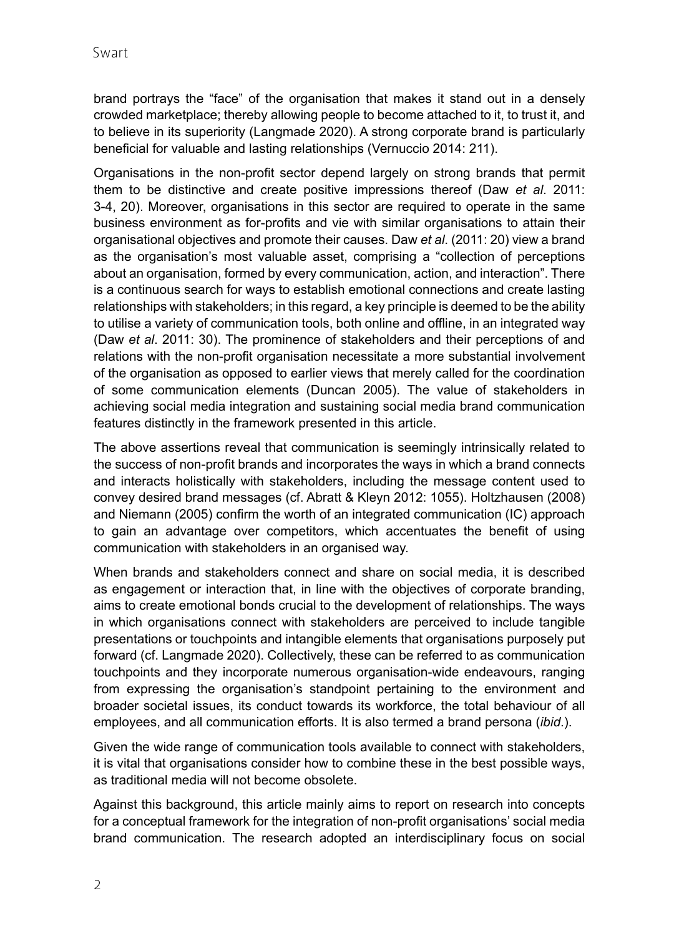brand portrays the "face" of the organisation that makes it stand out in a densely crowded marketplace; thereby allowing people to become attached to it, to trust it, and to believe in its superiority (Langmade 2020). A strong corporate brand is particularly beneficial for valuable and lasting relationships (Vernuccio 2014: 211).

Organisations in the non-profit sector depend largely on strong brands that permit them to be distinctive and create positive impressions thereof (Daw *et al*. 2011: 3-4, 20). Moreover, organisations in this sector are required to operate in the same business environment as for-profits and vie with similar organisations to attain their organisational objectives and promote their causes. Daw *et al*. (2011: 20) view a brand as the organisation's most valuable asset, comprising a "collection of perceptions about an organisation, formed by every communication, action, and interaction". There is a continuous search for ways to establish emotional connections and create lasting relationships with stakeholders; in this regard, a key principle is deemed to be the ability to utilise a variety of communication tools, both online and offline, in an integrated way (Daw *et al*. 2011: 30). The prominence of stakeholders and their perceptions of and relations with the non-profit organisation necessitate a more substantial involvement of the organisation as opposed to earlier views that merely called for the coordination of some communication elements (Duncan 2005). The value of stakeholders in achieving social media integration and sustaining social media brand communication features distinctly in the framework presented in this article.

The above assertions reveal that communication is seemingly intrinsically related to the success of non-profit brands and incorporates the ways in which a brand connects and interacts holistically with stakeholders, including the message content used to convey desired brand messages (cf. Abratt & Kleyn 2012: 1055). Holtzhausen (2008) and Niemann (2005) confirm the worth of an integrated communication (IC) approach to gain an advantage over competitors, which accentuates the benefit of using communication with stakeholders in an organised way.

When brands and stakeholders connect and share on social media, it is described as engagement or interaction that, in line with the objectives of corporate branding, aims to create emotional bonds crucial to the development of relationships. The ways in which organisations connect with stakeholders are perceived to include tangible presentations or touchpoints and intangible elements that organisations purposely put forward (cf. Langmade 2020). Collectively, these can be referred to as communication touchpoints and they incorporate numerous organisation-wide endeavours, ranging from expressing the organisation's standpoint pertaining to the environment and broader societal issues, its conduct towards its workforce, the total behaviour of all employees, and all communication efforts. It is also termed a brand persona (*ibid*.).

Given the wide range of communication tools available to connect with stakeholders, it is vital that organisations consider how to combine these in the best possible ways, as traditional media will not become obsolete.

Against this background, this article mainly aims to report on research into concepts for a conceptual framework for the integration of non-profit organisations' social media brand communication. The research adopted an interdisciplinary focus on social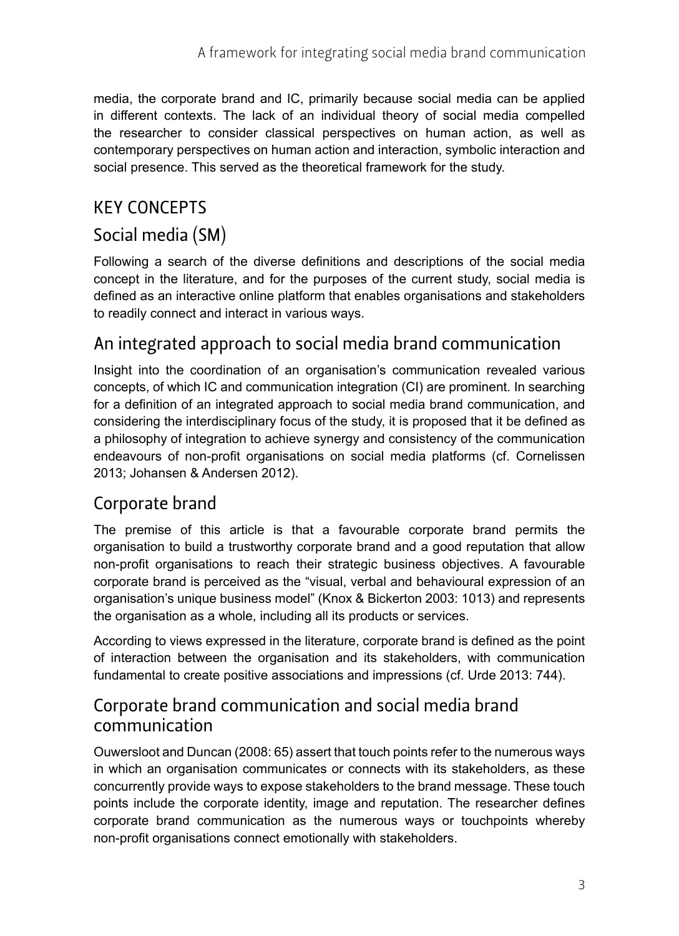media, the corporate brand and IC, primarily because social media can be applied in different contexts. The lack of an individual theory of social media compelled the researcher to consider classical perspectives on human action, as well as contemporary perspectives on human action and interaction, symbolic interaction and social presence. This served as the theoretical framework for the study.

## KEY CONCEPTS

# Social media (SM)

Following a search of the diverse definitions and descriptions of the social media concept in the literature, and for the purposes of the current study, social media is defined as an interactive online platform that enables organisations and stakeholders to readily connect and interact in various ways.

# An integrated approach to social media brand communication

Insight into the coordination of an organisation's communication revealed various concepts, of which IC and communication integration (CI) are prominent. In searching for a definition of an integrated approach to social media brand communication, and considering the interdisciplinary focus of the study, it is proposed that it be defined as a philosophy of integration to achieve synergy and consistency of the communication endeavours of non-profit organisations on social media platforms (cf. Cornelissen 2013; Johansen & Andersen 2012).

## Corporate brand

The premise of this article is that a favourable corporate brand permits the organisation to build a trustworthy corporate brand and a good reputation that allow non-profit organisations to reach their strategic business objectives. A favourable corporate brand is perceived as the "visual, verbal and behavioural expression of an organisation's unique business model" (Knox & Bickerton 2003: 1013) and represents the organisation as a whole, including all its products or services.

According to views expressed in the literature, corporate brand is defined as the point of interaction between the organisation and its stakeholders, with communication fundamental to create positive associations and impressions (cf. Urde 2013: 744).

## Corporate brand communication and social media brand communication

Ouwersloot and Duncan (2008: 65) assert that touch points refer to the numerous ways in which an organisation communicates or connects with its stakeholders, as these concurrently provide ways to expose stakeholders to the brand message. These touch points include the corporate identity, image and reputation. The researcher defines corporate brand communication as the numerous ways or touchpoints whereby non‑profit organisations connect emotionally with stakeholders.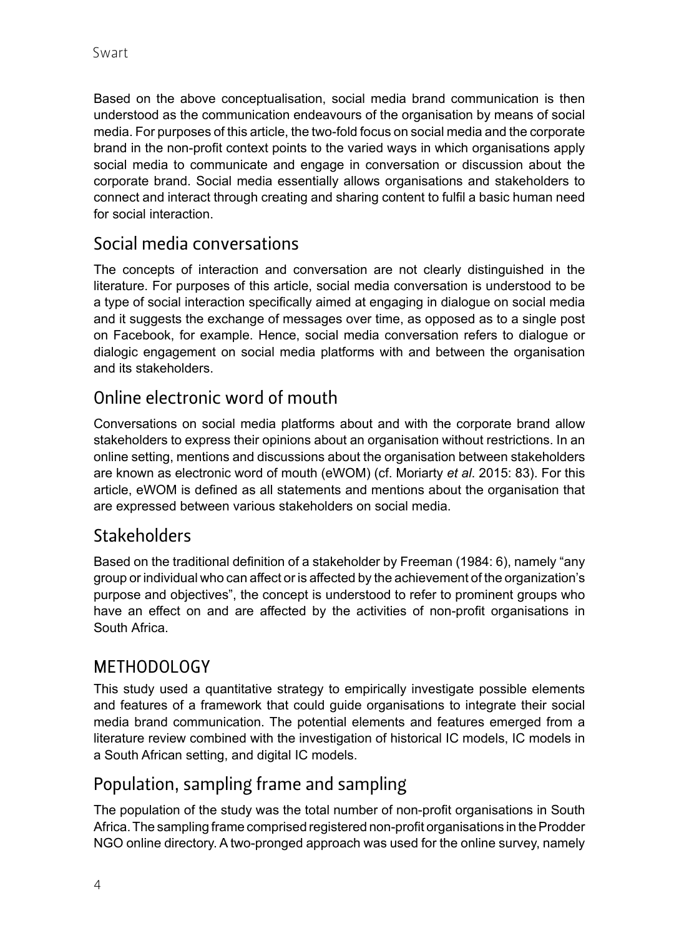Based on the above conceptualisation, social media brand communication is then understood as the communication endeavours of the organisation by means of social media. For purposes of this article, the two-fold focus on social media and the corporate brand in the non-profit context points to the varied ways in which organisations apply social media to communicate and engage in conversation or discussion about the corporate brand. Social media essentially allows organisations and stakeholders to connect and interact through creating and sharing content to fulfil a basic human need for social interaction.

# Social media conversations

The concepts of interaction and conversation are not clearly distinguished in the literature. For purposes of this article, social media conversation is understood to be a type of social interaction specifically aimed at engaging in dialogue on social media and it suggests the exchange of messages over time, as opposed as to a single post on Facebook, for example. Hence, social media conversation refers to dialogue or dialogic engagement on social media platforms with and between the organisation and its stakeholders.

# Online electronic word of mouth

Conversations on social media platforms about and with the corporate brand allow stakeholders to express their opinions about an organisation without restrictions. In an online setting, mentions and discussions about the organisation between stakeholders are known as electronic word of mouth (eWOM) (cf. Moriarty *et al*. 2015: 83). For this article, eWOM is defined as all statements and mentions about the organisation that are expressed between various stakeholders on social media.

# Stakeholders

Based on the traditional definition of a stakeholder by Freeman (1984: 6), namely "any group or individual who can affect or is affected by the achievement of the organization's purpose and objectives", the concept is understood to refer to prominent groups who have an effect on and are affected by the activities of non-profit organisations in South Africa.

### METHODOLOGY

This study used a quantitative strategy to empirically investigate possible elements and features of a framework that could guide organisations to integrate their social media brand communication. The potential elements and features emerged from a literature review combined with the investigation of historical IC models, IC models in a South African setting, and digital IC models.

## Population, sampling frame and sampling

The population of the study was the total number of non-profit organisations in South Africa. The sampling frame comprised registered non-profit organisations in the Prodder NGO online directory. A two-pronged approach was used for the online survey, namely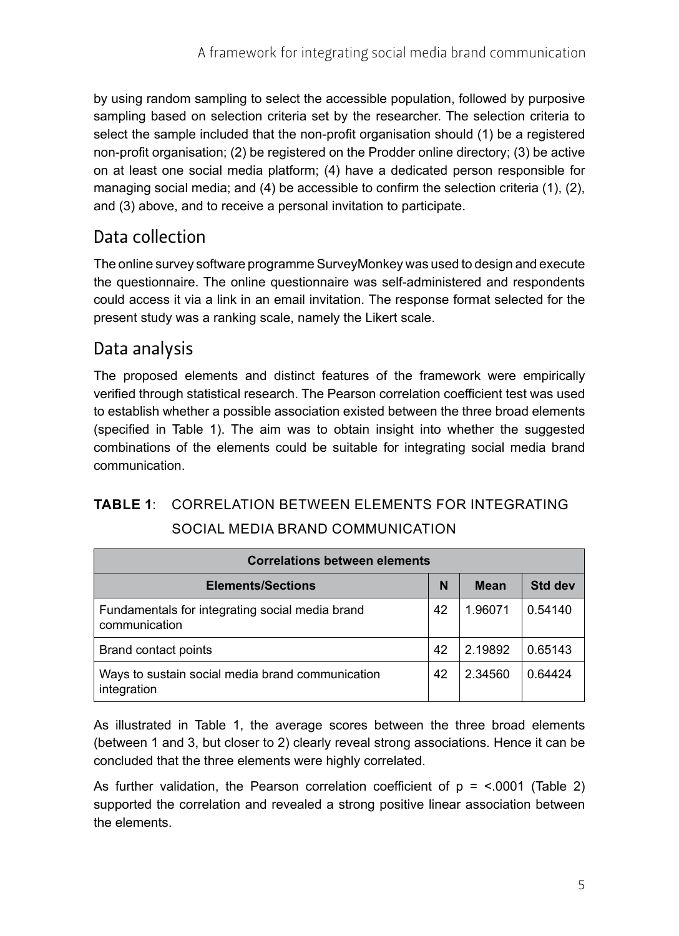by using random sampling to select the accessible population, followed by purposive sampling based on selection criteria set by the researcher. The selection criteria to select the sample included that the non-profit organisation should (1) be a registered non-profit organisation; (2) be registered on the Prodder online directory; (3) be active on at least one social media platform; (4) have a dedicated person responsible for managing social media; and (4) be accessible to confirm the selection criteria (1), (2), and (3) above, and to receive a personal invitation to participate.

## Data collection

The online survey software programme SurveyMonkey was used to design and execute the questionnaire. The online questionnaire was self-administered and respondents could access it via a link in an email invitation. The response format selected for the present study was a ranking scale, namely the Likert scale.

## Data analysis

The proposed elements and distinct features of the framework were empirically verified through statistical research. The Pearson correlation coefficient test was used to establish whether a possible association existed between the three broad elements (specified in Table 1). The aim was to obtain insight into whether the suggested combinations of the elements could be suitable for integrating social media brand communication.

### **TABLE 1**: CORRELATION BETWEEN ELEMENTS FOR INTEGRATING SOCIAL MEDIA BRAND COMMUNICATION

| <b>Correlations between elements</b>                             |    |             |         |  |  |  |
|------------------------------------------------------------------|----|-------------|---------|--|--|--|
| <b>Elements/Sections</b>                                         | N  | <b>Mean</b> | Std dev |  |  |  |
| Fundamentals for integrating social media brand<br>communication | 42 | 1.96071     | 0.54140 |  |  |  |
| Brand contact points                                             | 42 | 2.19892     | 0.65143 |  |  |  |
| Ways to sustain social media brand communication<br>integration  | 42 | 2.34560     | 0.64424 |  |  |  |

As illustrated in Table 1, the average scores between the three broad elements (between 1 and 3, but closer to 2) clearly reveal strong associations. Hence it can be concluded that the three elements were highly correlated.

As further validation, the Pearson correlation coefficient of  $p = \langle .0001 \rangle$  (Table 2) supported the correlation and revealed a strong positive linear association between the elements.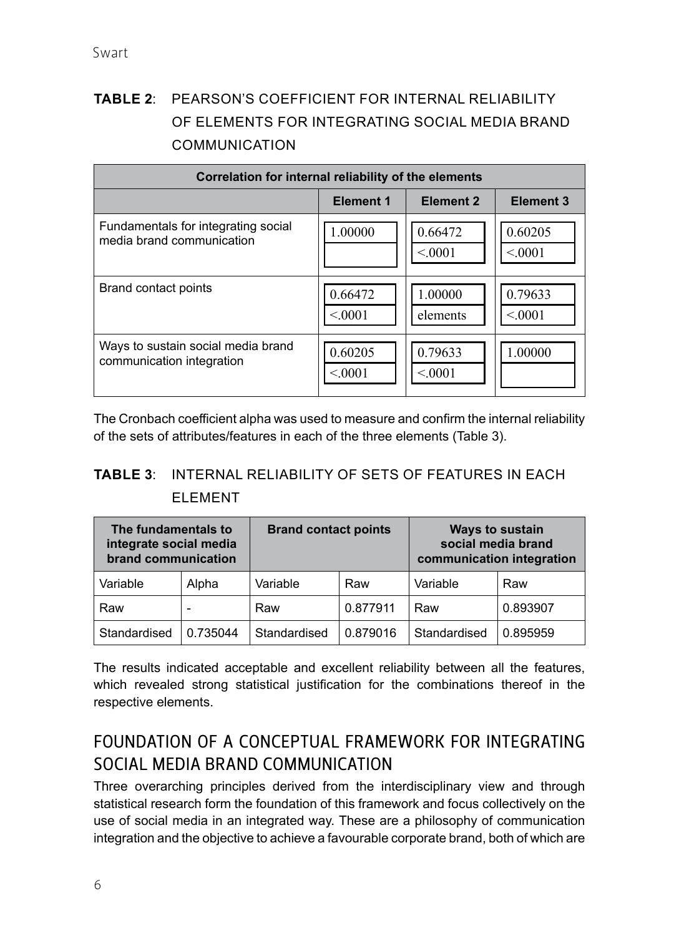# **TABLE 2**: PEARSON'S COEFFICIENT FOR INTERNAL RELIABILITY OF ELEMENTS FOR INTEGRATING SOCIAL MEDIA BRAND COMMUNICATION

| Correlation for internal reliability of the elements |           |                  |                  |  |  |
|------------------------------------------------------|-----------|------------------|------------------|--|--|
|                                                      | Element 1 | <b>Element 2</b> | <b>Element 3</b> |  |  |
| Fundamentals for integrating social                  | 1.00000   | 0.66472          | 0.60205          |  |  |
| media brand communication                            |           | < 0.001          | < 0.001          |  |  |
| Brand contact points                                 | 0.66472   | 1.00000          | 0.79633          |  |  |
|                                                      | < 0.001   | elements         | < 0.001          |  |  |
| Ways to sustain social media brand                   | 0.60205   | 0.79633          | 1.00000          |  |  |
| communication integration                            | < 0.001   | < 0.001          |                  |  |  |

The Cronbach coefficient alpha was used to measure and confirm the internal reliability of the sets of attributes/features in each of the three elements (Table 3).

### **TABLE 3**: INTERNAL RELIABILITY OF SETS OF FEATURES IN EACH ELEMENT

| The fundamentals to<br>integrate social media<br>brand communication |          | <b>Brand contact points</b> |          |              | <b>Ways to sustain</b><br>social media brand<br>communication integration |
|----------------------------------------------------------------------|----------|-----------------------------|----------|--------------|---------------------------------------------------------------------------|
| Variable                                                             | Alpha    | Variable                    | Raw      | Variable     | Raw                                                                       |
| Raw                                                                  |          | Raw                         | 0.877911 | Raw          | 0.893907                                                                  |
| Standardised                                                         | 0.735044 | Standardised                | 0.879016 | Standardised | 0.895959                                                                  |

The results indicated acceptable and excellent reliability between all the features, which revealed strong statistical justification for the combinations thereof in the respective elements.

## FOUNDATION OF A CONCEPTUAL FRAMEWORK FOR INTEGRATING SOCIAL MEDIA BRAND COMMUNICATION

Three overarching principles derived from the interdisciplinary view and through statistical research form the foundation of this framework and focus collectively on the use of social media in an integrated way. These are a philosophy of communication integration and the objective to achieve a favourable corporate brand, both of which are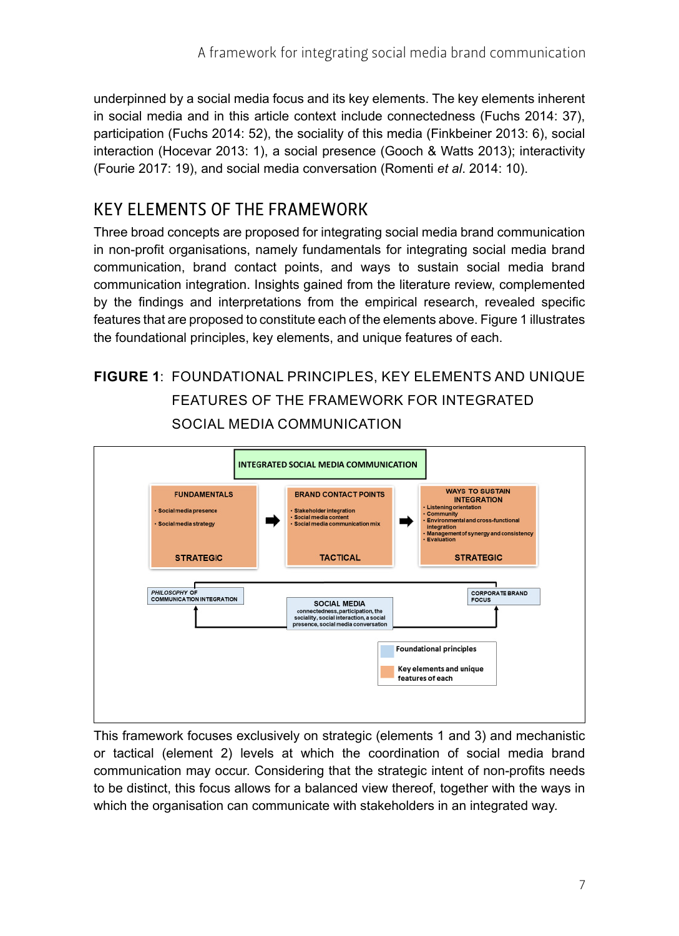underpinned by a social media focus and its key elements. The key elements inherent in social media and in this article context include connectedness (Fuchs 2014: 37), participation (Fuchs 2014: 52), the sociality of this media (Finkbeiner 2013: 6), social interaction (Hocevar 2013: 1), a social presence (Gooch & Watts 2013); interactivity (Fourie 2017: 19), and social media conversation (Romenti *et al*. 2014: 10).

## KEY ELEMENTS OF THE FRAMEWORK

Three broad concepts are proposed for integrating social media brand communication in non-profit organisations, namely fundamentals for integrating social media brand communication, brand contact points, and ways to sustain social media brand communication integration. Insights gained from the literature review, complemented by the findings and interpretations from the empirical research, revealed specific features that are proposed to constitute each of the elements above. Figure 1 illustrates the foundational principles, key elements, and unique features of each.

# **FIGURE 1**: FOUNDATIONAL PRINCIPLES, KEY ELEMENTS AND UNIQUE FEATURES OF THE FRAMEWORK FOR INTEGRATED SOCIAL MEDIA COMMUNICATION



This framework focuses exclusively on strategic (elements 1 and 3) and mechanistic or tactical (element 2) levels at which the coordination of social media brand communication may occur. Considering that the strategic intent of non-profits needs to be distinct, this focus allows for a balanced view thereof, together with the ways in which the organisation can communicate with stakeholders in an integrated way.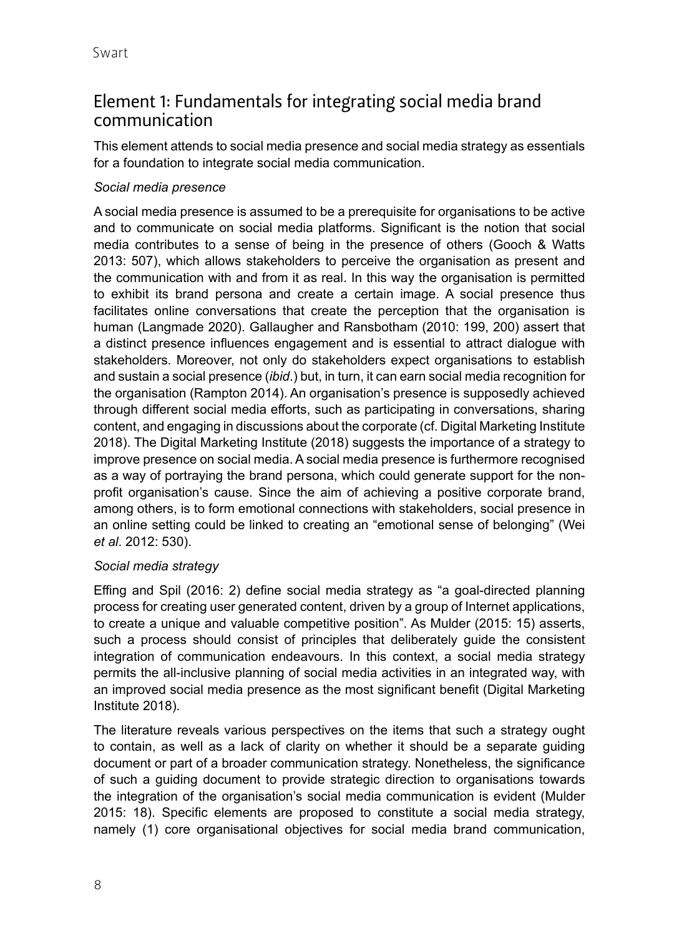## Element 1: Fundamentals for integrating social media brand communication

This element attends to social media presence and social media strategy as essentials for a foundation to integrate social media communication.

#### *Social media presence*

A social media presence is assumed to be a prerequisite for organisations to be active and to communicate on social media platforms. Significant is the notion that social media contributes to a sense of being in the presence of others (Gooch & Watts 2013: 507), which allows stakeholders to perceive the organisation as present and the communication with and from it as real. In this way the organisation is permitted to exhibit its brand persona and create a certain image. A social presence thus facilitates online conversations that create the perception that the organisation is human (Langmade 2020). Gallaugher and Ransbotham (2010: 199, 200) assert that a distinct presence influences engagement and is essential to attract dialogue with stakeholders. Moreover, not only do stakeholders expect organisations to establish and sustain a social presence (*ibid*.) but, in turn, it can earn social media recognition for the organisation (Rampton 2014). An organisation's presence is supposedly achieved through different social media efforts, such as participating in conversations, sharing content, and engaging in discussions about the corporate (cf. Digital Marketing Institute 2018). The Digital Marketing Institute (2018) suggests the importance of a strategy to improve presence on social media. A social media presence is furthermore recognised as a way of portraying the brand persona, which could generate support for the nonprofit organisation's cause. Since the aim of achieving a positive corporate brand, among others, is to form emotional connections with stakeholders, social presence in an online setting could be linked to creating an "emotional sense of belonging" (Wei *et al*. 2012: 530).

#### *Social media strategy*

Effing and Spil (2016: 2) define social media strategy as "a goal-directed planning process for creating user generated content, driven by a group of Internet applications, to create a unique and valuable competitive position". As Mulder (2015: 15) asserts, such a process should consist of principles that deliberately guide the consistent integration of communication endeavours. In this context, a social media strategy permits the all-inclusive planning of social media activities in an integrated way, with an improved social media presence as the most significant benefit (Digital Marketing Institute 2018).

The literature reveals various perspectives on the items that such a strategy ought to contain, as well as a lack of clarity on whether it should be a separate guiding document or part of a broader communication strategy. Nonetheless, the significance of such a guiding document to provide strategic direction to organisations towards the integration of the organisation's social media communication is evident (Mulder 2015: 18). Specific elements are proposed to constitute a social media strategy, namely (1) core organisational objectives for social media brand communication,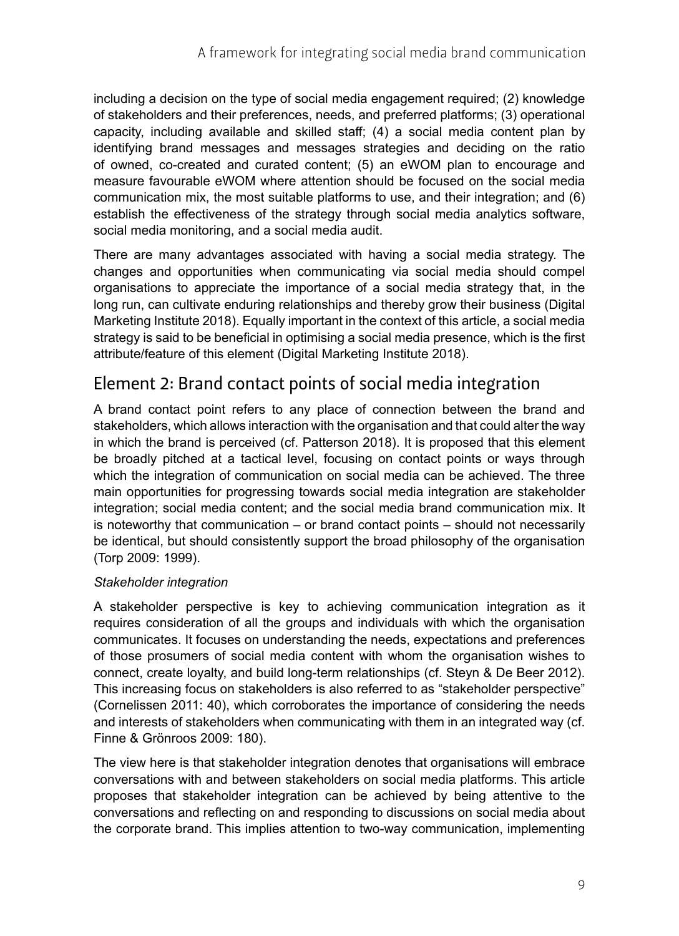including a decision on the type of social media engagement required; (2) knowledge of stakeholders and their preferences, needs, and preferred platforms; (3) operational capacity, including available and skilled staff; (4) a social media content plan by identifying brand messages and messages strategies and deciding on the ratio of owned, co-created and curated content; (5) an eWOM plan to encourage and measure favourable eWOM where attention should be focused on the social media communication mix, the most suitable platforms to use, and their integration; and (6) establish the effectiveness of the strategy through social media analytics software, social media monitoring, and a social media audit.

There are many advantages associated with having a social media strategy. The changes and opportunities when communicating via social media should compel organisations to appreciate the importance of a social media strategy that, in the long run, can cultivate enduring relationships and thereby grow their business (Digital Marketing Institute 2018). Equally important in the context of this article, a social media strategy is said to be beneficial in optimising a social media presence, which is the first attribute/feature of this element (Digital Marketing Institute 2018).

## Element 2: Brand contact points of social media integration

A brand contact point refers to any place of connection between the brand and stakeholders, which allows interaction with the organisation and that could alter the way in which the brand is perceived (cf. Patterson 2018). It is proposed that this element be broadly pitched at a tactical level, focusing on contact points or ways through which the integration of communication on social media can be achieved. The three main opportunities for progressing towards social media integration are stakeholder integration; social media content; and the social media brand communication mix. It is noteworthy that communication – or brand contact points – should not necessarily be identical, but should consistently support the broad philosophy of the organisation (Torp 2009: 1999).

### *Stakeholder integration*

A stakeholder perspective is key to achieving communication integration as it requires consideration of all the groups and individuals with which the organisation communicates. It focuses on understanding the needs, expectations and preferences of those prosumers of social media content with whom the organisation wishes to connect, create loyalty, and build long-term relationships (cf. Steyn & De Beer 2012). This increasing focus on stakeholders is also referred to as "stakeholder perspective" (Cornelissen 2011: 40), which corroborates the importance of considering the needs and interests of stakeholders when communicating with them in an integrated way (cf. Finne & Grönroos 2009: 180).

The view here is that stakeholder integration denotes that organisations will embrace conversations with and between stakeholders on social media platforms. This article proposes that stakeholder integration can be achieved by being attentive to the conversations and reflecting on and responding to discussions on social media about the corporate brand. This implies attention to two-way communication, implementing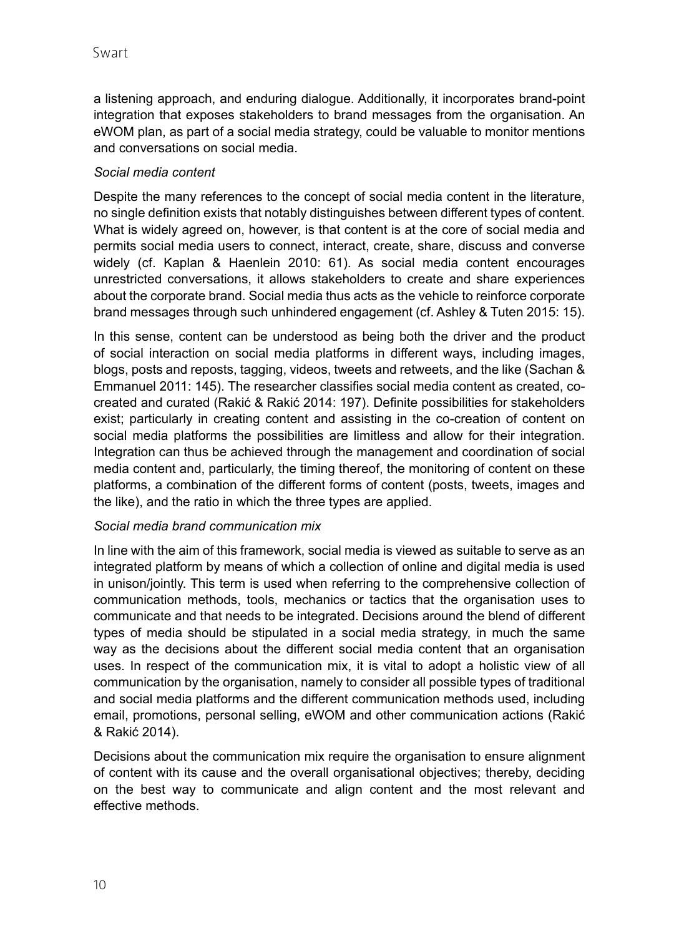a listening approach, and enduring dialogue. Additionally, it incorporates brand-point integration that exposes stakeholders to brand messages from the organisation. An eWOM plan, as part of a social media strategy, could be valuable to monitor mentions and conversations on social media.

### *Social media content*

Despite the many references to the concept of social media content in the literature, no single definition exists that notably distinguishes between different types of content. What is widely agreed on, however, is that content is at the core of social media and permits social media users to connect, interact, create, share, discuss and converse widely (cf. Kaplan & Haenlein 2010: 61). As social media content encourages unrestricted conversations, it allows stakeholders to create and share experiences about the corporate brand. Social media thus acts as the vehicle to reinforce corporate brand messages through such unhindered engagement (cf. Ashley & Tuten 2015: 15).

In this sense, content can be understood as being both the driver and the product of social interaction on social media platforms in different ways, including images, blogs, posts and reposts, tagging, videos, tweets and retweets, and the like (Sachan & Emmanuel 2011: 145). The researcher classifies social media content as created, cocreated and curated (Rakić & Rakić 2014: 197). Definite possibilities for stakeholders exist; particularly in creating content and assisting in the co-creation of content on social media platforms the possibilities are limitless and allow for their integration. Integration can thus be achieved through the management and coordination of social media content and, particularly, the timing thereof, the monitoring of content on these platforms, a combination of the different forms of content (posts, tweets, images and the like), and the ratio in which the three types are applied.

#### *Social media brand communication mix*

In line with the aim of this framework, social media is viewed as suitable to serve as an integrated platform by means of which a collection of online and digital media is used in unison/jointly. This term is used when referring to the comprehensive collection of communication methods, tools, mechanics or tactics that the organisation uses to communicate and that needs to be integrated. Decisions around the blend of different types of media should be stipulated in a social media strategy, in much the same way as the decisions about the different social media content that an organisation uses. In respect of the communication mix, it is vital to adopt a holistic view of all communication by the organisation, namely to consider all possible types of traditional and social media platforms and the different communication methods used, including email, promotions, personal selling, eWOM and other communication actions (Rakić & Rakić 2014).

Decisions about the communication mix require the organisation to ensure alignment of content with its cause and the overall organisational objectives; thereby, deciding on the best way to communicate and align content and the most relevant and effective methods.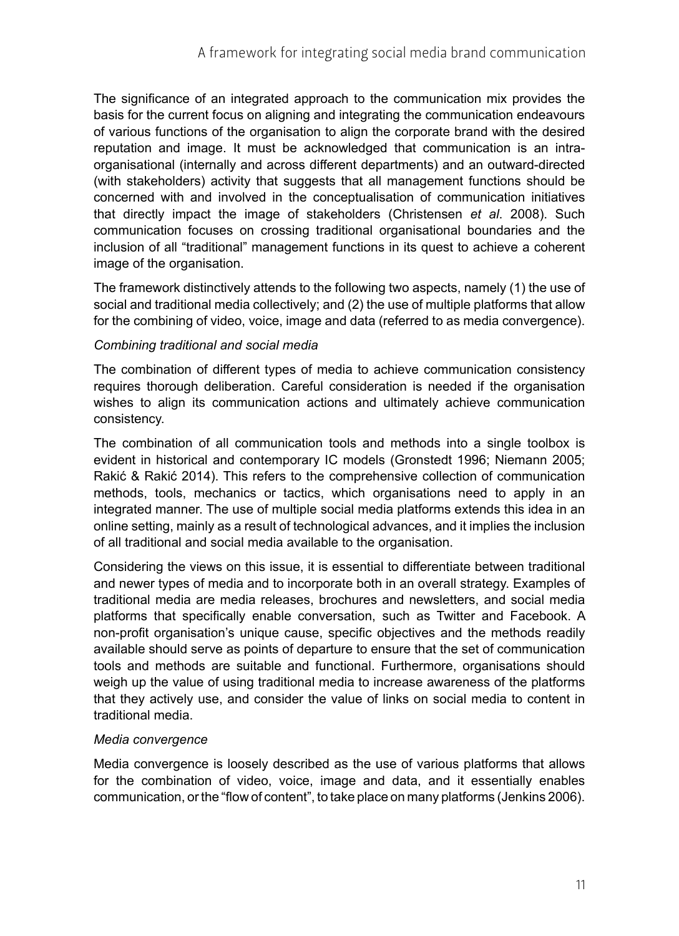The significance of an integrated approach to the communication mix provides the basis for the current focus on aligning and integrating the communication endeavours of various functions of the organisation to align the corporate brand with the desired reputation and image. It must be acknowledged that communication is an intraorganisational (internally and across different departments) and an outward-directed (with stakeholders) activity that suggests that all management functions should be concerned with and involved in the conceptualisation of communication initiatives that directly impact the image of stakeholders (Christensen *et al*. 2008). Such communication focuses on crossing traditional organisational boundaries and the inclusion of all "traditional" management functions in its quest to achieve a coherent image of the organisation.

The framework distinctively attends to the following two aspects, namely (1) the use of social and traditional media collectively; and (2) the use of multiple platforms that allow for the combining of video, voice, image and data (referred to as media convergence).

### *Combining traditional and social media*

The combination of different types of media to achieve communication consistency requires thorough deliberation. Careful consideration is needed if the organisation wishes to align its communication actions and ultimately achieve communication consistency.

The combination of all communication tools and methods into a single toolbox is evident in historical and contemporary IC models (Gronstedt 1996; Niemann 2005; Rakić & Rakić 2014). This refers to the comprehensive collection of communication methods, tools, mechanics or tactics, which organisations need to apply in an integrated manner. The use of multiple social media platforms extends this idea in an online setting, mainly as a result of technological advances, and it implies the inclusion of all traditional and social media available to the organisation.

Considering the views on this issue, it is essential to differentiate between traditional and newer types of media and to incorporate both in an overall strategy. Examples of traditional media are media releases, brochures and newsletters, and social media platforms that specifically enable conversation, such as Twitter and Facebook. A non-profit organisation's unique cause, specific objectives and the methods readily available should serve as points of departure to ensure that the set of communication tools and methods are suitable and functional. Furthermore, organisations should weigh up the value of using traditional media to increase awareness of the platforms that they actively use, and consider the value of links on social media to content in traditional media.

#### *Media convergence*

Media convergence is loosely described as the use of various platforms that allows for the combination of video, voice, image and data, and it essentially enables communication, or the "flow of content", to take place on many platforms (Jenkins 2006).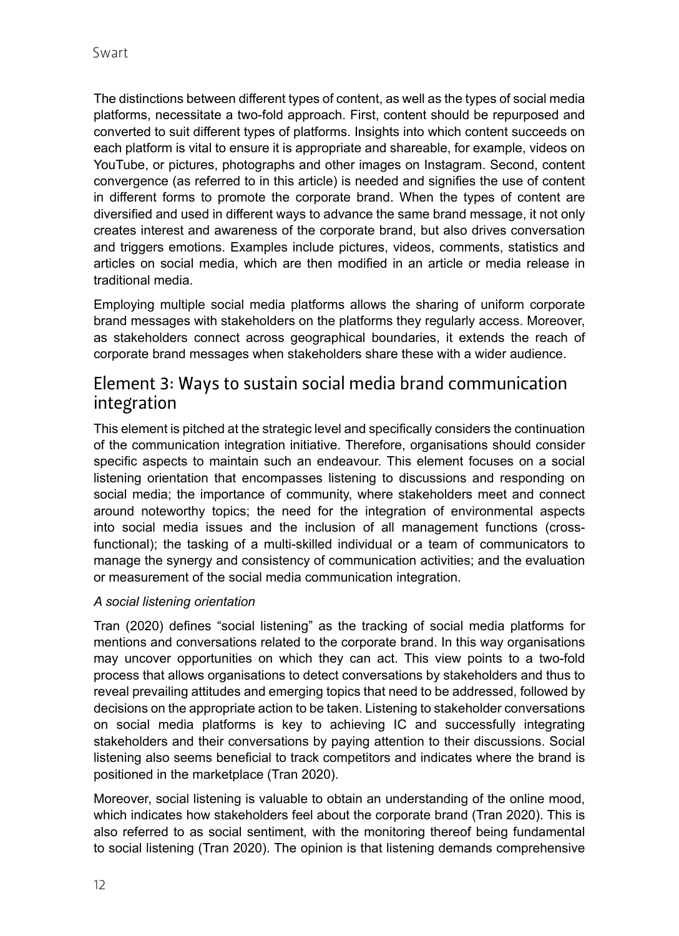The distinctions between different types of content, as well as the types of social media platforms, necessitate a two-fold approach. First, content should be repurposed and converted to suit different types of platforms. Insights into which content succeeds on each platform is vital to ensure it is appropriate and shareable, for example, videos on YouTube, or pictures, photographs and other images on Instagram. Second, content convergence (as referred to in this article) is needed and signifies the use of content in different forms to promote the corporate brand. When the types of content are diversified and used in different ways to advance the same brand message, it not only creates interest and awareness of the corporate brand, but also drives conversation and triggers emotions. Examples include pictures, videos, comments, statistics and articles on social media, which are then modified in an article or media release in traditional media.

Employing multiple social media platforms allows the sharing of uniform corporate brand messages with stakeholders on the platforms they regularly access. Moreover, as stakeholders connect across geographical boundaries, it extends the reach of corporate brand messages when stakeholders share these with a wider audience.

### Element 3: Ways to sustain social media brand communication integration

This element is pitched at the strategic level and specifically considers the continuation of the communication integration initiative. Therefore, organisations should consider specific aspects to maintain such an endeavour. This element focuses on a social listening orientation that encompasses listening to discussions and responding on social media; the importance of community, where stakeholders meet and connect around noteworthy topics; the need for the integration of environmental aspects into social media issues and the inclusion of all management functions (crossfunctional); the tasking of a multi-skilled individual or a team of communicators to manage the synergy and consistency of communication activities; and the evaluation or measurement of the social media communication integration.

### *A social listening orientation*

Tran (2020) defines "social listening" as the tracking of social media platforms for mentions and conversations related to the corporate brand. In this way organisations may uncover opportunities on which they can act. This view points to a two-fold process that allows organisations to detect conversations by stakeholders and thus to reveal prevailing attitudes and emerging topics that need to be addressed, followed by decisions on the appropriate action to be taken. Listening to stakeholder conversations on social media platforms is key to achieving IC and successfully integrating stakeholders and their conversations by paying attention to their discussions. Social listening also seems beneficial to track competitors and indicates where the brand is positioned in the marketplace (Tran 2020).

Moreover, social listening is valuable to obtain an understanding of the online mood, which indicates how stakeholders feel about the corporate brand (Tran 2020). This is also referred to as social sentiment*,* with the monitoring thereof being fundamental to social listening (Tran 2020). The opinion is that listening demands comprehensive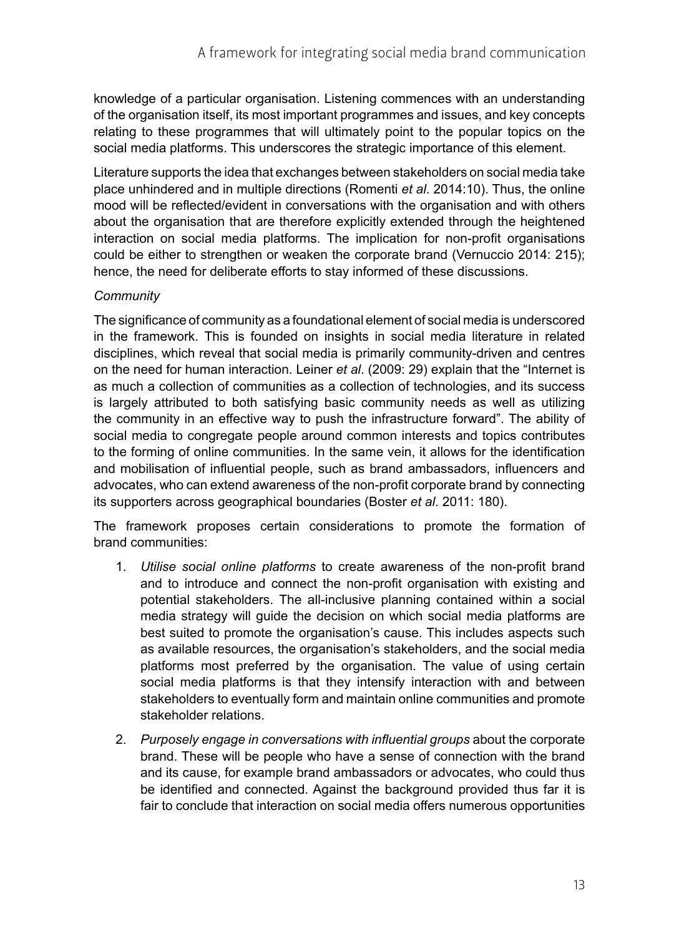knowledge of a particular organisation. Listening commences with an understanding of the organisation itself, its most important programmes and issues, and key concepts relating to these programmes that will ultimately point to the popular topics on the social media platforms. This underscores the strategic importance of this element.

Literature supports the idea that exchanges between stakeholders on social media take place unhindered and in multiple directions (Romenti *et al*. 2014:10). Thus, the online mood will be reflected/evident in conversations with the organisation and with others about the organisation that are therefore explicitly extended through the heightened interaction on social media platforms. The implication for non-profit organisations could be either to strengthen or weaken the corporate brand (Vernuccio 2014: 215); hence, the need for deliberate efforts to stay informed of these discussions.

### *Community*

The significance of community as a foundational element of social media is underscored in the framework. This is founded on insights in social media literature in related disciplines, which reveal that social media is primarily community-driven and centres on the need for human interaction. Leiner *et al*. (2009: 29) explain that the "Internet is as much a collection of communities as a collection of technologies, and its success is largely attributed to both satisfying basic community needs as well as utilizing the community in an effective way to push the infrastructure forward". The ability of social media to congregate people around common interests and topics contributes to the forming of online communities. In the same vein, it allows for the identification and mobilisation of influential people, such as brand ambassadors, influencers and advocates, who can extend awareness of the non-profit corporate brand by connecting its supporters across geographical boundaries (Boster *et al*. 2011: 180).

The framework proposes certain considerations to promote the formation of brand communities:

- 1. *Utilise social online platforms* to create awareness of the non-profit brand and to introduce and connect the non-profit organisation with existing and potential stakeholders. The all-inclusive planning contained within a social media strategy will guide the decision on which social media platforms are best suited to promote the organisation's cause. This includes aspects such as available resources, the organisation's stakeholders, and the social media platforms most preferred by the organisation. The value of using certain social media platforms is that they intensify interaction with and between stakeholders to eventually form and maintain online communities and promote stakeholder relations.
- 2. *Purposely engage in conversations with influential groups* about the corporate brand. These will be people who have a sense of connection with the brand and its cause, for example brand ambassadors or advocates, who could thus be identified and connected. Against the background provided thus far it is fair to conclude that interaction on social media offers numerous opportunities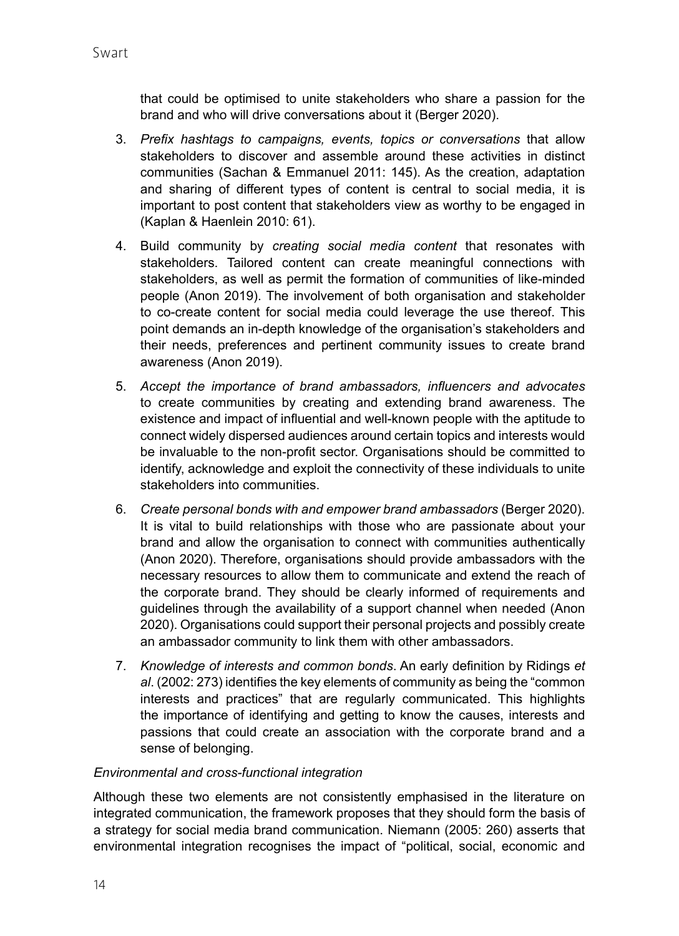that could be optimised to unite stakeholders who share a passion for the brand and who will drive conversations about it (Berger 2020).

- 3. *Prefix hashtags to campaigns, events, topics or conversations* that allow stakeholders to discover and assemble around these activities in distinct communities (Sachan & Emmanuel 2011: 145). As the creation, adaptation and sharing of different types of content is central to social media, it is important to post content that stakeholders view as worthy to be engaged in (Kaplan & Haenlein 2010: 61).
- 4. Build community by *creating social media content* that resonates with stakeholders. Tailored content can create meaningful connections with stakeholders, as well as permit the formation of communities of like-minded people (Anon 2019). The involvement of both organisation and stakeholder to co-create content for social media could leverage the use thereof. This point demands an in-depth knowledge of the organisation's stakeholders and their needs, preferences and pertinent community issues to create brand awareness (Anon 2019).
- 5. *Accept the importance of brand ambassadors, influencers and advocates*  to create communities by creating and extending brand awareness. The existence and impact of influential and well-known people with the aptitude to connect widely dispersed audiences around certain topics and interests would be invaluable to the non-profit sector. Organisations should be committed to identify, acknowledge and exploit the connectivity of these individuals to unite stakeholders into communities.
- 6. *Create personal bonds with and empower brand ambassadors* (Berger 2020). It is vital to build relationships with those who are passionate about your brand and allow the organisation to connect with communities authentically (Anon 2020). Therefore, organisations should provide ambassadors with the necessary resources to allow them to communicate and extend the reach of the corporate brand. They should be clearly informed of requirements and guidelines through the availability of a support channel when needed (Anon 2020). Organisations could support their personal projects and possibly create an ambassador community to link them with other ambassadors.
- 7. *Knowledge of interests and common bonds*. An early definition by Ridings *et al*. (2002: 273) identifies the key elements of community as being the "common interests and practices" that are regularly communicated. This highlights the importance of identifying and getting to know the causes, interests and passions that could create an association with the corporate brand and a sense of belonging.

#### *Environmental and cross-functional integration*

Although these two elements are not consistently emphasised in the literature on integrated communication, the framework proposes that they should form the basis of a strategy for social media brand communication. Niemann (2005: 260) asserts that environmental integration recognises the impact of "political, social, economic and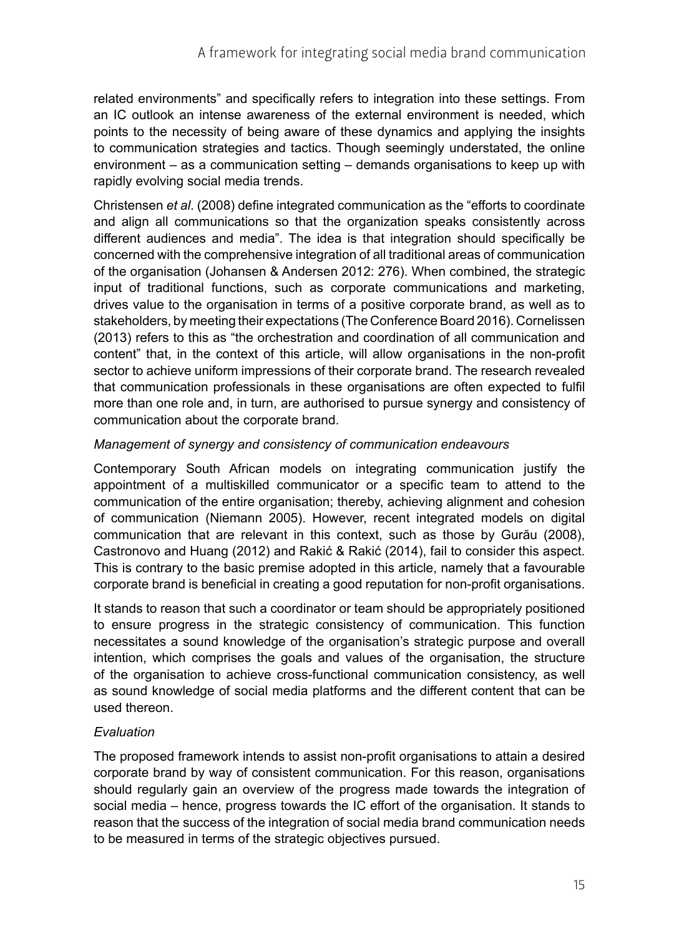related environments" and specifically refers to integration into these settings. From an IC outlook an intense awareness of the external environment is needed, which points to the necessity of being aware of these dynamics and applying the insights to communication strategies and tactics. Though seemingly understated, the online environment – as a communication setting – demands organisations to keep up with rapidly evolving social media trends.

Christensen *et al*. (2008) define integrated communication as the "efforts to coordinate and align all communications so that the organization speaks consistently across different audiences and media". The idea is that integration should specifically be concerned with the comprehensive integration of all traditional areas of communication of the organisation (Johansen & Andersen 2012: 276). When combined, the strategic input of traditional functions, such as corporate communications and marketing, drives value to the organisation in terms of a positive corporate brand, as well as to stakeholders, by meeting their expectations (The Conference Board 2016). Cornelissen (2013) refers to this as "the orchestration and coordination of all communication and content" that, in the context of this article, will allow organisations in the non-profit sector to achieve uniform impressions of their corporate brand. The research revealed that communication professionals in these organisations are often expected to fulfil more than one role and, in turn, are authorised to pursue synergy and consistency of communication about the corporate brand.

### *Management of synergy and consistency of communication endeavours*

Contemporary South African models on integrating communication justify the appointment of a multiskilled communicator or a specific team to attend to the communication of the entire organisation; thereby, achieving alignment and cohesion of communication (Niemann 2005). However, recent integrated models on digital communication that are relevant in this context, such as those by Gurău (2008), Castronovo and Huang (2012) and Rakić & Rakić (2014), fail to consider this aspect. This is contrary to the basic premise adopted in this article, namely that a favourable corporate brand is beneficial in creating a good reputation for non-profit organisations.

It stands to reason that such a coordinator or team should be appropriately positioned to ensure progress in the strategic consistency of communication. This function necessitates a sound knowledge of the organisation's strategic purpose and overall intention, which comprises the goals and values of the organisation, the structure of the organisation to achieve cross-functional communication consistency, as well as sound knowledge of social media platforms and the different content that can be used thereon.

### *Evaluation*

The proposed framework intends to assist non-profit organisations to attain a desired corporate brand by way of consistent communication. For this reason, organisations should regularly gain an overview of the progress made towards the integration of social media – hence, progress towards the IC effort of the organisation. It stands to reason that the success of the integration of social media brand communication needs to be measured in terms of the strategic objectives pursued.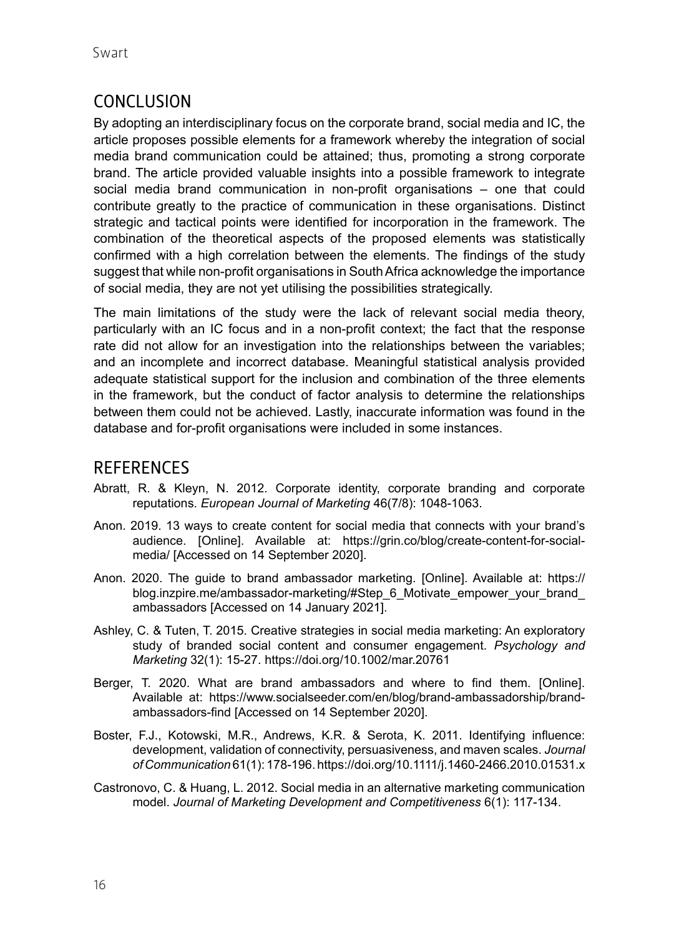## CONCLUSION

By adopting an interdisciplinary focus on the corporate brand, social media and IC, the article proposes possible elements for a framework whereby the integration of social media brand communication could be attained; thus, promoting a strong corporate brand. The article provided valuable insights into a possible framework to integrate social media brand communication in non-profit organisations – one that could contribute greatly to the practice of communication in these organisations. Distinct strategic and tactical points were identified for incorporation in the framework. The combination of the theoretical aspects of the proposed elements was statistically confirmed with a high correlation between the elements. The findings of the study suggest that while non-profit organisations in South Africa acknowledge the importance of social media, they are not yet utilising the possibilities strategically.

The main limitations of the study were the lack of relevant social media theory, particularly with an IC focus and in a non-profit context; the fact that the response rate did not allow for an investigation into the relationships between the variables; and an incomplete and incorrect database. Meaningful statistical analysis provided adequate statistical support for the inclusion and combination of the three elements in the framework, but the conduct of factor analysis to determine the relationships between them could not be achieved. Lastly, inaccurate information was found in the database and for-profit organisations were included in some instances.

### **REFERENCES**

- Abratt, R. & Kleyn, N. 2012. Corporate identity, corporate branding and corporate reputations. *European Journal of Marketing* 46(7/8): 1048-1063.
- Anon. 2019. 13 ways to create content for social media that connects with your brand's audience. [Online]. Available at: [https://grin.co/blog/create-content-for-social](https://grin.co/blog/create-content-for-social-media/)[media/](https://grin.co/blog/create-content-for-social-media/) [Accessed on 14 September 2020].
- Anon. 2020. The guide to brand ambassador marketing. [Online]. Available at: https:// blog.inzpire.me/ambassador-marketing/#Step\_6\_Motivate\_empower\_your\_brand ambassadors [Accessed on 14 January 2021].
- Ashley, C. & Tuten, T. 2015. Creative strategies in social media marketing: An exploratory study of branded social content and consumer engagement. *Psychology and Marketing* 32(1): 15-27.<https://doi.org/10.1002/mar.20761>
- Berger, T. 2020. What are brand ambassadors and where to find them. [Online]. Available at: [https://www.socialseeder.com/en/blog/brand-ambassadorship/brand](https://www.socialseeder.com/en/blog/brand-ambassadorship/brand-ambassadors-find%20Accessed%2014%20September%202020)[ambassadors-find](https://www.socialseeder.com/en/blog/brand-ambassadorship/brand-ambassadors-find%20Accessed%2014%20September%202020) [Accessed on 14 September 2020].
- Boster, F.J., Kotowski, M.R., Andrews, K.R. & Serota, K. 2011. Identifying influence: development, validation of connectivity, persuasiveness, and maven scales. *Journal of Communication* 61(1): 178-196.<https://doi.org/10.1111/j.1460-2466.2010.01531.x>
- Castronovo, C. & Huang, L. 2012. Social media in an alternative marketing communication model. *Journal of Marketing Development and Competitiveness* 6(1): 117-134.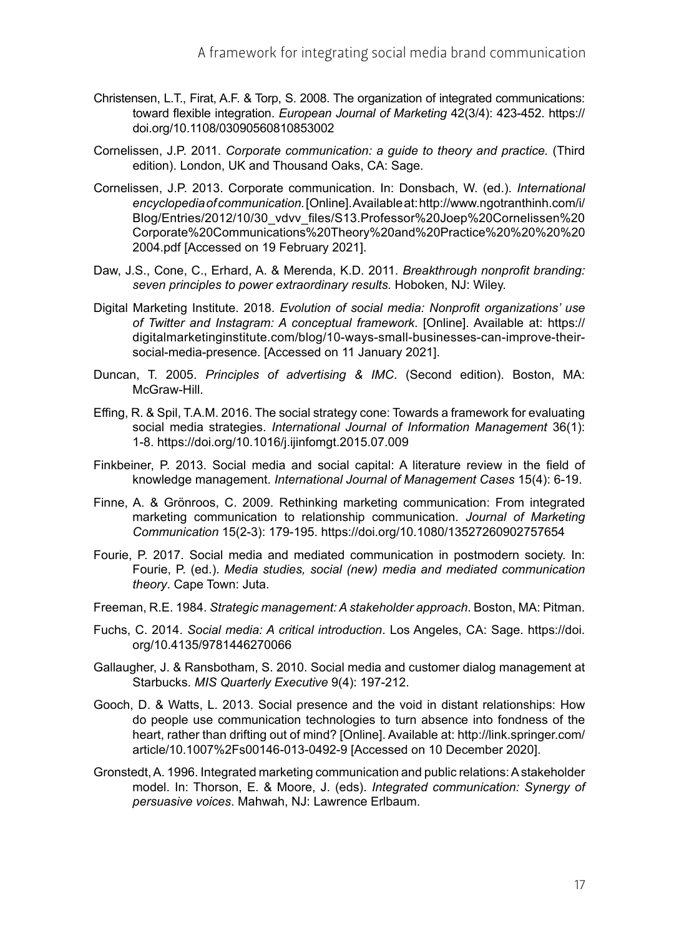- Christensen, L.T., Firat, A.F. & Torp, S. 2008. The organization of integrated communications: toward flexible integration. *European Journal of Marketing* 42(3/4): 423-452. [https://](https://doi.org/10.1108/03090560810853002) [doi.org/10.1108/03090560810853002](https://doi.org/10.1108/03090560810853002)
- Cornelissen, J.P. 2011. *Corporate communication: a guide to theory and practice.* (Third edition). London, UK and Thousand Oaks, CA: Sage.
- Cornelissen, J.P. 2013. Corporate communication. In: Donsbach, W. (ed.). *International encyclopedia of communication.* [Online]. Available at: [http://www.ngotranthinh.com/i/](http://www.ngotranthinh.com/i/Blog/Entries/2012/10/30_vdvv_files/S13.Professor%20Joep%20Cornelissen%20Corporate%20Communications%20Theory%20and%20Practice%20%20%20%202004.pdf) [Blog/Entries/2012/10/30\\_vdvv\\_files/S13.Professor%20Joep%20Cornelissen%20](http://www.ngotranthinh.com/i/Blog/Entries/2012/10/30_vdvv_files/S13.Professor%20Joep%20Cornelissen%20Corporate%20Communications%20Theory%20and%20Practice%20%20%20%202004.pdf) [Corporate%20Communications%20Theory%20and%20Practice%20%20%20%20](http://www.ngotranthinh.com/i/Blog/Entries/2012/10/30_vdvv_files/S13.Professor%20Joep%20Cornelissen%20Corporate%20Communications%20Theory%20and%20Practice%20%20%20%202004.pdf) [2004.pdf](http://www.ngotranthinh.com/i/Blog/Entries/2012/10/30_vdvv_files/S13.Professor%20Joep%20Cornelissen%20Corporate%20Communications%20Theory%20and%20Practice%20%20%20%202004.pdf) [Accessed on 19 February 2021].
- Daw, J.S., Cone, C., Erhard, A. & Merenda, K.D. 2011. *Breakthrough nonprofit branding: seven principles to power extraordinary results.* Hoboken, NJ: Wiley.
- Digital Marketing Institute. 2018. *Evolution of social media: Nonprofit organizations' use of Twitter and Instagram: A conceptual framework*. [Online]. Available at: [https://](https://digitalmarketinginstitute.com/blog/10-ways-small-businesses-can-improve-their-social-media-presence) [digitalmarketinginstitute.com/blog/10-ways-small-businesses-can-improve-their](https://digitalmarketinginstitute.com/blog/10-ways-small-businesses-can-improve-their-social-media-presence)[social-media-presence.](https://digitalmarketinginstitute.com/blog/10-ways-small-businesses-can-improve-their-social-media-presence) [Accessed on 11 January 2021].
- Duncan, T. 2005. *Principles of advertising & IMC*. (Second edition). Boston, MA: McGraw-Hill.
- Effing, R. & Spil, T.A.M. 2016. The social strategy cone: Towards a framework for evaluating social media strategies. *[International Journal of Information Management](https://www.sciencedirect.com/science/journal/02684012)* 36(1): 1-8.<https://doi.org/10.1016/j.ijinfomgt.2015.07.009>
- Finkbeiner, P. 2013. Social media and social capital: A literature review in the field of knowledge management. *International Journal of Management Cases* 15(4): 6-19.
- Finne, A. & Grönroos, C. 2009. Rethinking marketing communication: From integrated marketing communication to relationship communication. *Journal of Marketing Communication* 15(2-3): 179-195.<https://doi.org/10.1080/13527260902757654>
- Fourie, P. 2017. Social media and mediated communication in postmodern society. In: Fourie, P. (ed.). *Media studies, social (new) media and mediated communication theory*. Cape Town: Juta.
- Freeman, R.E. 1984. *Strategic management: A stakeholder approach*. Boston, MA: Pitman.
- Fuchs, C. 2014. *Social media: A critical introduction*. Los Angeles, CA: Sage. [https://doi.](https://doi.org/10.4135/9781446270066) [org/10.4135/9781446270066](https://doi.org/10.4135/9781446270066)
- Gallaugher, J. & Ransbotham, S. 2010. Social media and customer dialog management at Starbucks. *MIS Quarterly Executive* 9(4): 197-212.
- Gooch, D. & Watts, L. 2013. Social presence and the void in distant relationships: How do people use communication technologies to turn absence into fondness of the heart, rather than drifting out of mind? [Online]. Available at: [http://link.springer.com/](http://link.springer.com/article/10.1007%2Fs00146-013-0492-9) [article/10.1007%2Fs00146-013-0492-9](http://link.springer.com/article/10.1007%2Fs00146-013-0492-9) [Accessed on 10 December 2020].
- Gronstedt, A. 1996. Integrated marketing communication and public relations: A stakeholder model. In: Thorson, E. & Moore, J. (eds). *Integrated communication: Synergy of persuasive voices*. Mahwah, NJ: Lawrence Erlbaum.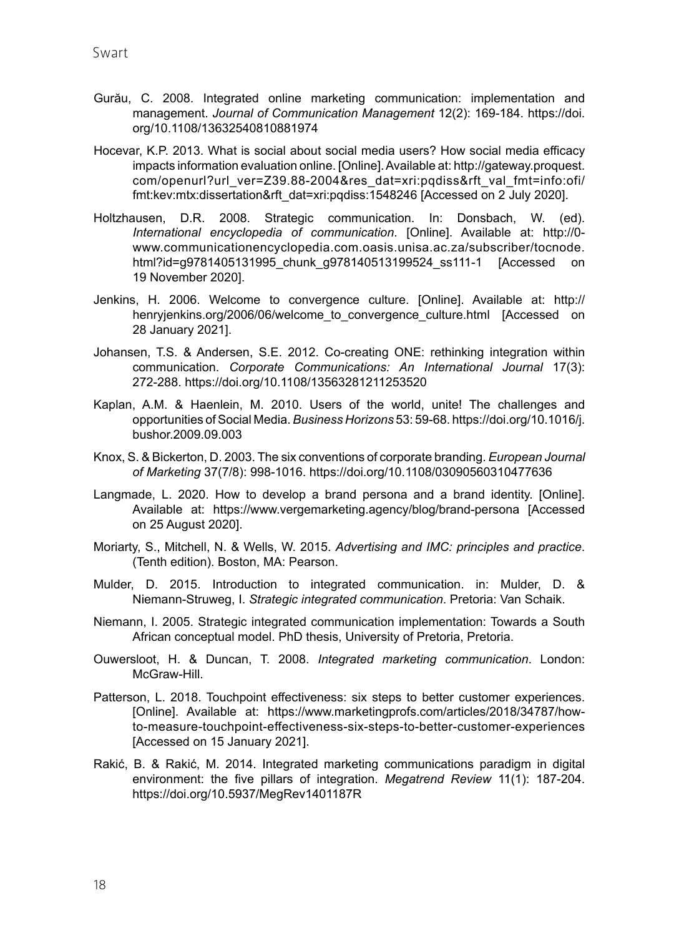- Gurău, C. 2008. Integrated online marketing communication: implementation and management. *Journal of Communication Management* 12(2): 169-184. [https://doi.](https://doi.org/10.1108/13632540810881974) [org/10.1108/13632540810881974](https://doi.org/10.1108/13632540810881974)
- Hocevar, K.P. 2013. What is social about social media users? How social media efficacy impacts information evaluation online. [Online]. Available at: [http://gateway.proquest.](http://gateway.proquest.com/openurl?url_ver=Z39.88-2004&res_dat=xri:pqdiss&rft_val_fmt=info:ofi/fmt:kev:mtx:dissertation&rft_dat=xri:pqdiss:1548246) [com/openurl?url\\_ver=Z39.88-2004&res\\_dat=xri:pqdiss&rft\\_val\\_fmt=info:ofi/](http://gateway.proquest.com/openurl?url_ver=Z39.88-2004&res_dat=xri:pqdiss&rft_val_fmt=info:ofi/fmt:kev:mtx:dissertation&rft_dat=xri:pqdiss:1548246) [fmt:kev:mtx:dissertation&rft\\_dat=xri:pqdiss:1548246](http://gateway.proquest.com/openurl?url_ver=Z39.88-2004&res_dat=xri:pqdiss&rft_val_fmt=info:ofi/fmt:kev:mtx:dissertation&rft_dat=xri:pqdiss:1548246) [Accessed on 2 July 2020].
- Holtzhausen, D.R. 2008. Strategic communication. In: Donsbach, W. (ed). *International encyclopedia of communication*. [Online]. Available at: [http://0](http://0-www.communicationencyclopedia.com.oasis.unisa.ac.za/subscriber/tocnode.html?id=g9781405131995_chunk_g978140513199524_ss111-1) [www.communicationencyclopedia.com.oasis.unisa.ac.za/subscriber/tocnode.](http://0-www.communicationencyclopedia.com.oasis.unisa.ac.za/subscriber/tocnode.html?id=g9781405131995_chunk_g978140513199524_ss111-1) html?id=g9781405131995 chunk\_g978140513199524\_ss111-1 [Accessed on 19 November 2020].
- Jenkins, H. 2006. Welcome to convergence culture. [Online]. Available at: [http://](http://henryjenkins.org/2006/06/welcome_to_convergence_culture.html) [henryjenkins.org/2006/06/welcome\\_to\\_convergence\\_culture.html](http://henryjenkins.org/2006/06/welcome_to_convergence_culture.html) [Accessed on 28 January 2021].
- Johansen, T.S. & Andersen, S.E. 2012. Co-creating ONE: rethinking integration within communication. *Corporate Communications: An International Journal* 17(3): 272‑288.<https://doi.org/10.1108/13563281211253520>
- Kaplan, A.M. & Haenlein, M. 2010. Users of the world, unite! The challenges and opportunities of Social Media. *Business Horizons* 53: 59-68. [https://doi.org/10.1016/j.](https://doi.org/10.1016/j.bushor.2009.09.003) [bushor.2009.09.003](https://doi.org/10.1016/j.bushor.2009.09.003)
- Knox, S. & Bickerton, D. 2003. The six conventions of corporate branding. *European Journal of Marketing* 37(7/8): 998-1016. <https://doi.org/10.1108/03090560310477636>
- Langmade, L. 2020. How to develop a brand persona and a brand identity. [Online]. Available at: <https://www.vergemarketing.agency/blog/brand-persona>[Accessed on 25 August 2020].
- Moriarty, S., Mitchell, N. & Wells, W. 2015. *Advertising and IMC: principles and practice*. (Tenth edition). Boston, MA: Pearson.
- Mulder, D. 2015. Introduction to integrated communication. in: Mulder, D. & Niemann‑Struweg, I. *Strategic integrated communication*. Pretoria: Van Schaik.
- Niemann, I. 2005. Strategic integrated communication implementation: Towards a South African conceptual model. PhD thesis, University of Pretoria, Pretoria.
- Ouwersloot, H. & Duncan, T. 2008. *Integrated marketing communication*. London: McGraw-Hill.
- Patterson, L. 2018. Touchpoint effectiveness: six steps to better customer experiences. [Online]. Available at: [https://www.marketingprofs.com/articles/2018/34787/how](https://www.marketingprofs.com/articles/2018/34787/how-to-measure-touchpoint-effectiveness-six-steps-to-better-customer-experiences)[to-measure-touchpoint-effectiveness-six-steps-to-better-customer-experiences](https://www.marketingprofs.com/articles/2018/34787/how-to-measure-touchpoint-effectiveness-six-steps-to-better-customer-experiences) [Accessed on 15 January 2021].
- Rakić, B. & Rakić, M. 2014. Integrated marketing communications paradigm in digital environment: the five pillars of integration. *Megatrend Review* 11(1): 187-204. <https://doi.org/10.5937/MegRev1401187R>